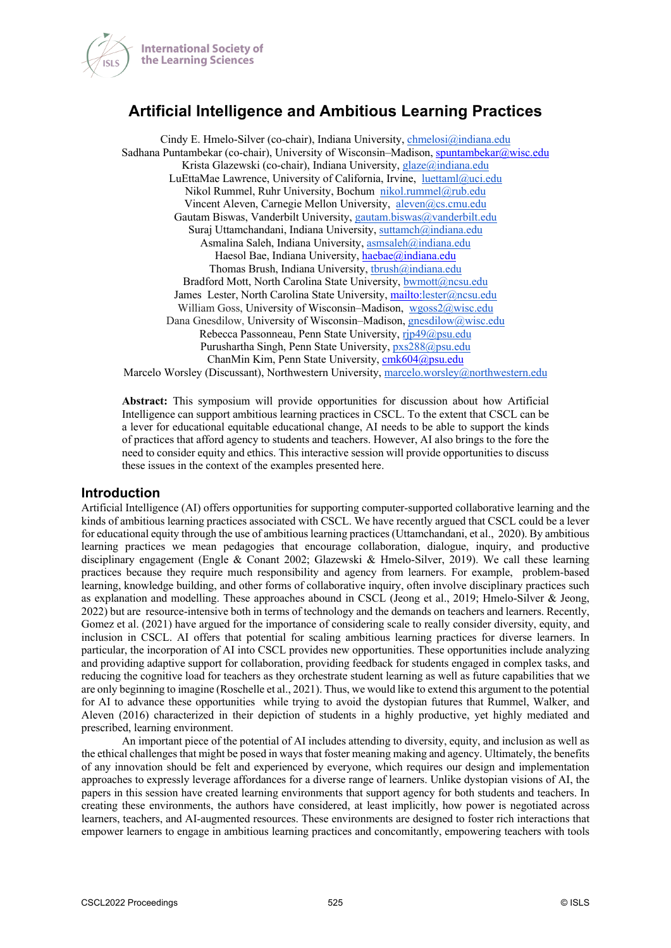

# **Artificial Intelligence and Ambitious Learning Practices**

Cindy E. Hmelo-Silver (co-chair), Indiana University, *chmelosi@indiana.edu* Sadhana Puntambekar (co-chair), University of Wisconsin–Madison, spuntambekar $@$ wisc.edu Krista Glazewski (co-chair), Indiana University, glaze@indiana.edu LuEttaMae Lawrence, University of California, Irvine, luettaml@uci.edu Nikol Rummel, Ruhr University, Bochum nikol.rummel@rub.edu Vincent Aleven, Carnegie Mellon University, aleven@cs.cmu.edu Gautam Biswas, Vanderbilt University, gautam.biswas@vanderbilt.edu Suraj Uttamchandani, Indiana University, suttamch@indiana.edu Asmalina Saleh, Indiana University, asmsaleh@indiana.edu Haesol Bae, Indiana University, haebae@indiana.edu Thomas Brush, Indiana University, tbrush@indiana.edu Bradford Mott, North Carolina State University, bwmott@ncsu.edu James Lester, North Carolina State University, mailto:lester@ncsu.edu William Goss, University of Wisconsin-Madison, wgoss2@wisc.edu Dana Gnesdilow, University of Wisconsin–Madison, gnesdilow@wisc.edu Rebecca Passonneau, Penn State University, rjp49@psu.edu Purushartha Singh, Penn State University, pxs288@psu.edu ChanMin Kim, Penn State University, cmk604@psu.edu Marcelo Worsley (Discussant), Northwestern University, marcelo.worsley@northwestern.edu

**Abstract:** This symposium will provide opportunities for discussion about how Artificial Intelligence can support ambitious learning practices in CSCL. To the extent that CSCL can be a lever for educational equitable educational change, AI needs to be able to support the kinds of practices that afford agency to students and teachers. However, AI also brings to the fore the need to consider equity and ethics. This interactive session will provide opportunities to discuss these issues in the context of the examples presented here.

### **Introduction**

Artificial Intelligence (AI) offers opportunities for supporting computer-supported collaborative learning and the kinds of ambitious learning practices associated with CSCL. We have recently argued that CSCL could be a lever for educational equity through the use of ambitious learning practices (Uttamchandani, et al., 2020). By ambitious learning practices we mean pedagogies that encourage collaboration, dialogue, inquiry, and productive disciplinary engagement (Engle & Conant 2002; Glazewski & Hmelo-Silver, 2019). We call these learning practices because they require much responsibility and agency from learners. For example, problem-based learning, knowledge building, and other forms of collaborative inquiry, often involve disciplinary practices such as explanation and modelling. These approaches abound in CSCL (Jeong et al., 2019; Hmelo-Silver & Jeong, 2022) but are resource-intensive both in terms of technology and the demands on teachers and learners. Recently, Gomez et al. (2021) have argued for the importance of considering scale to really consider diversity, equity, and inclusion in CSCL. AI offers that potential for scaling ambitious learning practices for diverse learners. In particular, the incorporation of AI into CSCL provides new opportunities. These opportunities include analyzing and providing adaptive support for collaboration, providing feedback for students engaged in complex tasks, and reducing the cognitive load for teachers as they orchestrate student learning as well as future capabilities that we are only beginning to imagine (Roschelle et al., 2021). Thus, we would like to extend this argument to the potential for AI to advance these opportunities while trying to avoid the dystopian futures that Rummel, Walker, and Aleven (2016) characterized in their depiction of students in a highly productive, yet highly mediated and prescribed, learning environment.

An important piece of the potential of AI includes attending to diversity, equity, and inclusion as well as the ethical challenges that might be posed in ways that foster meaning making and agency. Ultimately, the benefits of any innovation should be felt and experienced by everyone, which requires our design and implementation approaches to expressly leverage affordances for a diverse range of learners. Unlike dystopian visions of AI, the papers in this session have created learning environments that support agency for both students and teachers. In creating these environments, the authors have considered, at least implicitly, how power is negotiated across learners, teachers, and AI-augmented resources. These environments are designed to foster rich interactions that empower learners to engage in ambitious learning practices and concomitantly, empowering teachers with tools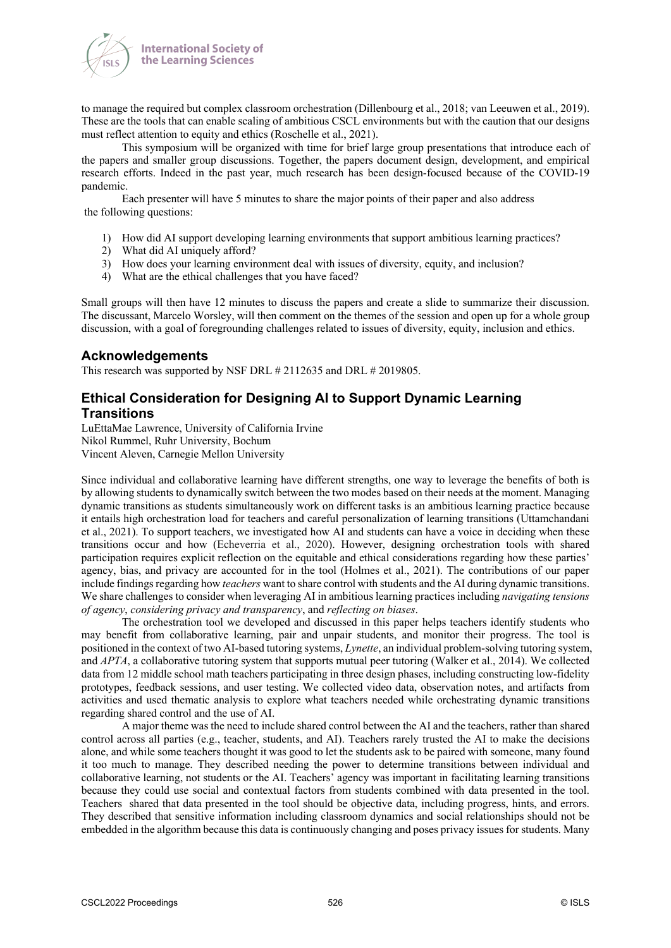

to manage the required but complex classroom orchestration (Dillenbourg et al., 2018; van Leeuwen et al., 2019). These are the tools that can enable scaling of ambitious CSCL environments but with the caution that our designs must reflect attention to equity and ethics (Roschelle et al., 2021).

This symposium will be organized with time for brief large group presentations that introduce each of the papers and smaller group discussions. Together, the papers document design, development, and empirical research efforts. Indeed in the past year, much research has been design-focused because of the COVID-19 pandemic.

Each presenter will have 5 minutes to share the major points of their paper and also address the following questions:

- 1) How did AI support developing learning environments that support ambitious learning practices?
- 2) What did AI uniquely afford?
- 3) How does your learning environment deal with issues of diversity, equity, and inclusion?
- 4) What are the ethical challenges that you have faced?

Small groups will then have 12 minutes to discuss the papers and create a slide to summarize their discussion. The discussant, Marcelo Worsley, will then comment on the themes of the session and open up for a whole group discussion, with a goal of foregrounding challenges related to issues of diversity, equity, inclusion and ethics.

#### **Acknowledgements**

This research was supported by NSF DRL # 2112635 and DRL # 2019805.

## **Ethical Consideration for Designing AI to Support Dynamic Learning Transitions**

LuEttaMae Lawrence, University of California Irvine Nikol Rummel, Ruhr University, Bochum Vincent Aleven, Carnegie Mellon University

Since individual and collaborative learning have different strengths, one way to leverage the benefits of both is by allowing students to dynamically switch between the two modes based on their needs at the moment. Managing dynamic transitions as students simultaneously work on different tasks is an ambitious learning practice because it entails high orchestration load for teachers and careful personalization of learning transitions (Uttamchandani et al., 2021). To support teachers, we investigated how AI and students can have a voice in deciding when these transitions occur and how (Echeverria et al., 2020). However, designing orchestration tools with shared participation requires explicit reflection on the equitable and ethical considerations regarding how these parties' agency, bias, and privacy are accounted for in the tool (Holmes et al., 2021). The contributions of our paper include findings regarding how *teachers* want to share control with students and the AI during dynamic transitions. We share challenges to consider when leveraging AI in ambitious learning practices including *navigating tensions of agency*, *considering privacy and transparency*, and *reflecting on biases*.

The orchestration tool we developed and discussed in this paper helps teachers identify students who may benefit from collaborative learning, pair and unpair students, and monitor their progress. The tool is positioned in the context of two AI-based tutoring systems, *Lynette*, an individual problem-solving tutoring system, and *APTA*, a collaborative tutoring system that supports mutual peer tutoring (Walker et al., 2014). We collected data from 12 middle school math teachers participating in three design phases, including constructing low-fidelity prototypes, feedback sessions, and user testing. We collected video data, observation notes, and artifacts from activities and used thematic analysis to explore what teachers needed while orchestrating dynamic transitions regarding shared control and the use of AI.

A major theme was the need to include shared control between the AI and the teachers, rather than shared control across all parties (e.g., teacher, students, and AI). Teachers rarely trusted the AI to make the decisions alone, and while some teachers thought it was good to let the students ask to be paired with someone, many found it too much to manage. They described needing the power to determine transitions between individual and collaborative learning, not students or the AI. Teachers' agency was important in facilitating learning transitions because they could use social and contextual factors from students combined with data presented in the tool. Teachers shared that data presented in the tool should be objective data, including progress, hints, and errors. They described that sensitive information including classroom dynamics and social relationships should not be embedded in the algorithm because this data is continuously changing and poses privacy issues for students. Many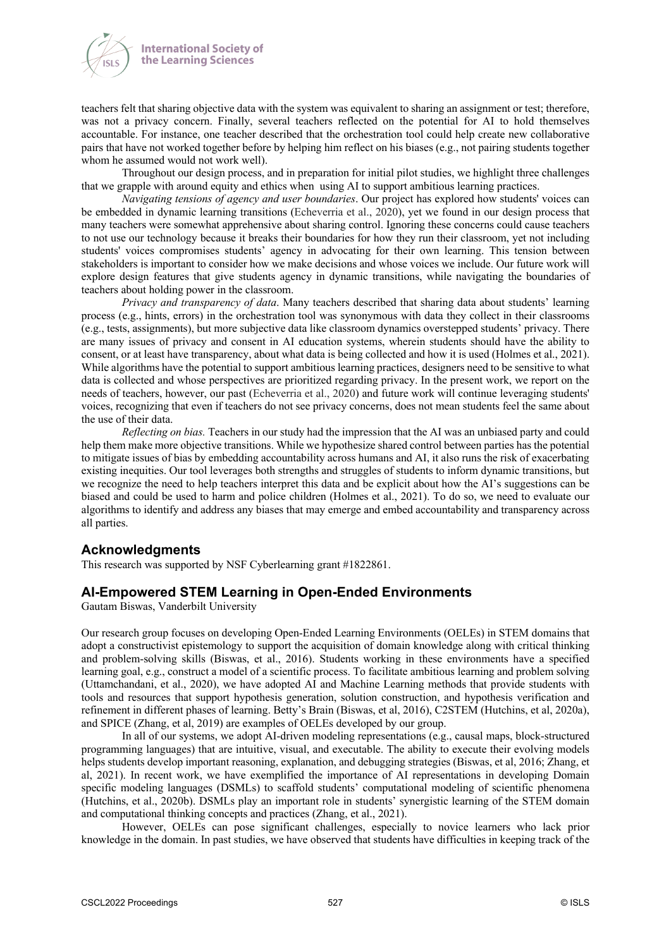



teachers felt that sharing objective data with the system was equivalent to sharing an assignment or test; therefore, was not a privacy concern. Finally, several teachers reflected on the potential for AI to hold themselves accountable. For instance, one teacher described that the orchestration tool could help create new collaborative pairs that have not worked together before by helping him reflect on his biases (e.g., not pairing students together whom he assumed would not work well).

Throughout our design process, and in preparation for initial pilot studies, we highlight three challenges that we grapple with around equity and ethics when using AI to support ambitious learning practices.

*Navigating tensions of agency and user boundaries*. Our project has explored how students' voices can be embedded in dynamic learning transitions (Echeverria et al., 2020), yet we found in our design process that many teachers were somewhat apprehensive about sharing control. Ignoring these concerns could cause teachers to not use our technology because it breaks their boundaries for how they run their classroom, yet not including students' voices compromises students' agency in advocating for their own learning. This tension between stakeholders is important to consider how we make decisions and whose voices we include. Our future work will explore design features that give students agency in dynamic transitions, while navigating the boundaries of teachers about holding power in the classroom.

*Privacy and transparency of data*. Many teachers described that sharing data about students' learning process (e.g., hints, errors) in the orchestration tool was synonymous with data they collect in their classrooms (e.g., tests, assignments), but more subjective data like classroom dynamics overstepped students' privacy. There are many issues of privacy and consent in AI education systems, wherein students should have the ability to consent, or at least have transparency, about what data is being collected and how it is used (Holmes et al., 2021). While algorithms have the potential to support ambitious learning practices, designers need to be sensitive to what data is collected and whose perspectives are prioritized regarding privacy. In the present work, we report on the needs of teachers, however, our past (Echeverria et al., 2020) and future work will continue leveraging students' voices, recognizing that even if teachers do not see privacy concerns, does not mean students feel the same about the use of their data.

*Reflecting on bias.* Teachers in our study had the impression that the AI was an unbiased party and could help them make more objective transitions. While we hypothesize shared control between parties has the potential to mitigate issues of bias by embedding accountability across humans and AI, it also runs the risk of exacerbating existing inequities. Our tool leverages both strengths and struggles of students to inform dynamic transitions, but we recognize the need to help teachers interpret this data and be explicit about how the AI's suggestions can be biased and could be used to harm and police children (Holmes et al., 2021). To do so, we need to evaluate our algorithms to identify and address any biases that may emerge and embed accountability and transparency across all parties.

### **Acknowledgments**

This research was supported by NSF Cyberlearning grant #1822861.

### **AI-Empowered STEM Learning in Open-Ended Environments**

Gautam Biswas, Vanderbilt University

Our research group focuses on developing Open-Ended Learning Environments (OELEs) in STEM domains that adopt a constructivist epistemology to support the acquisition of domain knowledge along with critical thinking and problem-solving skills (Biswas, et al., 2016). Students working in these environments have a specified learning goal, e.g., construct a model of a scientific process. To facilitate ambitious learning and problem solving (Uttamchandani, et al., 2020), we have adopted AI and Machine Learning methods that provide students with tools and resources that support hypothesis generation, solution construction, and hypothesis verification and refinement in different phases of learning. Betty's Brain (Biswas, et al, 2016), C2STEM (Hutchins, et al, 2020a), and SPICE (Zhang, et al, 2019) are examples of OELEs developed by our group.

In all of our systems, we adopt AI-driven modeling representations (e.g., causal maps, block-structured programming languages) that are intuitive, visual, and executable. The ability to execute their evolving models helps students develop important reasoning, explanation, and debugging strategies (Biswas, et al, 2016; Zhang, et al, 2021). In recent work, we have exemplified the importance of AI representations in developing Domain specific modeling languages (DSMLs) to scaffold students' computational modeling of scientific phenomena (Hutchins, et al., 2020b). DSMLs play an important role in students' synergistic learning of the STEM domain and computational thinking concepts and practices (Zhang, et al., 2021).

However, OELEs can pose significant challenges, especially to novice learners who lack prior knowledge in the domain. In past studies, we have observed that students have difficulties in keeping track of the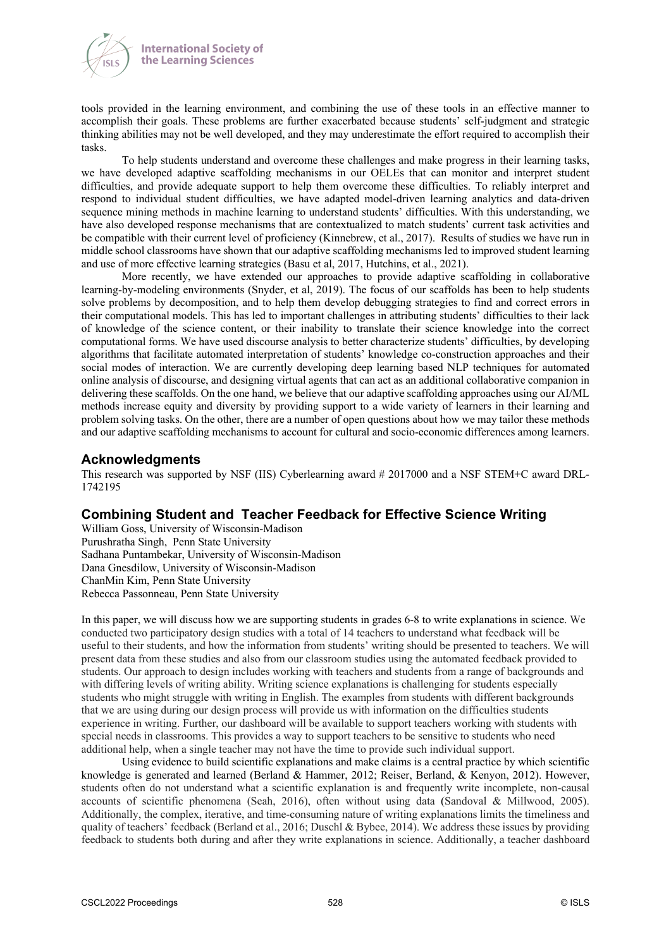

tools provided in the learning environment, and combining the use of these tools in an effective manner to accomplish their goals. These problems are further exacerbated because students' self-judgment and strategic thinking abilities may not be well developed, and they may underestimate the effort required to accomplish their tasks.

To help students understand and overcome these challenges and make progress in their learning tasks, we have developed adaptive scaffolding mechanisms in our OELEs that can monitor and interpret student difficulties, and provide adequate support to help them overcome these difficulties. To reliably interpret and respond to individual student difficulties, we have adapted model-driven learning analytics and data-driven sequence mining methods in machine learning to understand students' difficulties. With this understanding, we have also developed response mechanisms that are contextualized to match students' current task activities and be compatible with their current level of proficiency (Kinnebrew, et al., 2017). Results of studies we have run in middle school classrooms have shown that our adaptive scaffolding mechanisms led to improved student learning and use of more effective learning strategies (Basu et al, 2017, Hutchins, et al., 2021).

More recently, we have extended our approaches to provide adaptive scaffolding in collaborative learning-by-modeling environments (Snyder, et al, 2019). The focus of our scaffolds has been to help students solve problems by decomposition, and to help them develop debugging strategies to find and correct errors in their computational models. This has led to important challenges in attributing students' difficulties to their lack of knowledge of the science content, or their inability to translate their science knowledge into the correct computational forms. We have used discourse analysis to better characterize students' difficulties, by developing algorithms that facilitate automated interpretation of students' knowledge co-construction approaches and their social modes of interaction. We are currently developing deep learning based NLP techniques for automated online analysis of discourse, and designing virtual agents that can act as an additional collaborative companion in delivering these scaffolds. On the one hand, we believe that our adaptive scaffolding approaches using our AI/ML methods increase equity and diversity by providing support to a wide variety of learners in their learning and problem solving tasks. On the other, there are a number of open questions about how we may tailor these methods and our adaptive scaffolding mechanisms to account for cultural and socio-economic differences among learners.

### **Acknowledgments**

This research was supported by NSF (IIS) Cyberlearning award # 2017000 and a NSF STEM+C award DRL-1742195

## **Combining Student and Teacher Feedback for Effective Science Writing**

William Goss, University of Wisconsin-Madison Purushratha Singh, Penn State University Sadhana Puntambekar, University of Wisconsin-Madison Dana Gnesdilow, University of Wisconsin-Madison ChanMin Kim, Penn State University Rebecca Passonneau, Penn State University

In this paper, we will discuss how we are supporting students in grades 6-8 to write explanations in science. We conducted two participatory design studies with a total of 14 teachers to understand what feedback will be useful to their students, and how the information from students' writing should be presented to teachers. We will present data from these studies and also from our classroom studies using the automated feedback provided to students. Our approach to design includes working with teachers and students from a range of backgrounds and with differing levels of writing ability. Writing science explanations is challenging for students especially students who might struggle with writing in English. The examples from students with different backgrounds that we are using during our design process will provide us with information on the difficulties students experience in writing. Further, our dashboard will be available to support teachers working with students with special needs in classrooms. This provides a way to support teachers to be sensitive to students who need additional help, when a single teacher may not have the time to provide such individual support.

Using evidence to build scientific explanations and make claims is a central practice by which scientific knowledge is generated and learned (Berland & Hammer, 2012; Reiser, Berland, & Kenyon, 2012). However, students often do not understand what a scientific explanation is and frequently write incomplete, non-causal accounts of scientific phenomena (Seah, 2016), often without using data (Sandoval & Millwood, 2005). Additionally, the complex, iterative, and time-consuming nature of writing explanations limits the timeliness and quality of teachers' feedback (Berland et al., 2016; Duschl & Bybee, 2014). We address these issues by providing feedback to students both during and after they write explanations in science. Additionally, a teacher dashboard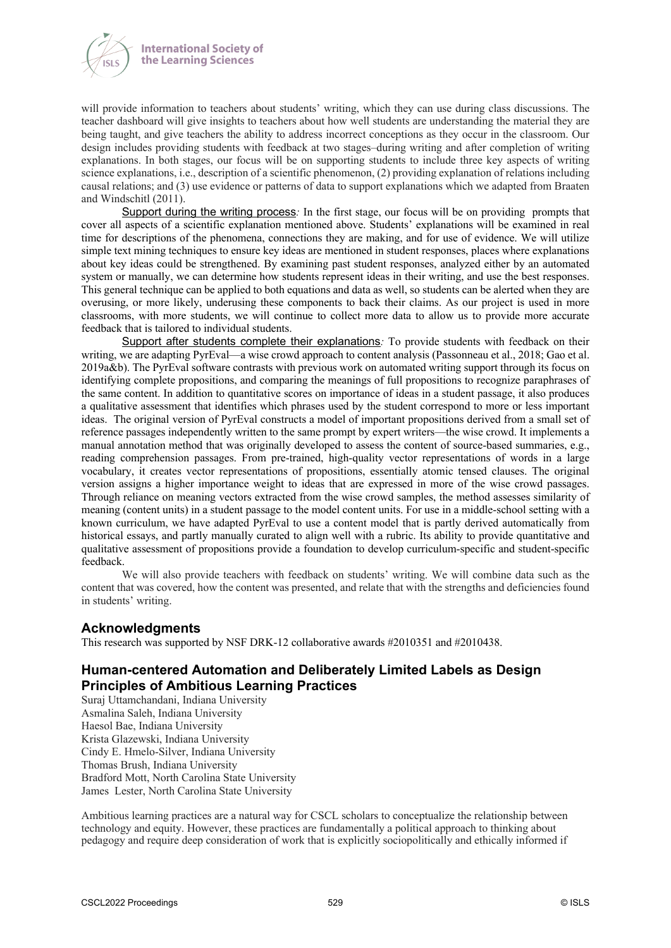

will provide information to teachers about students' writing, which they can use during class discussions. The teacher dashboard will give insights to teachers about how well students are understanding the material they are being taught, and give teachers the ability to address incorrect conceptions as they occur in the classroom. Our design includes providing students with feedback at two stages–during writing and after completion of writing explanations. In both stages, our focus will be on supporting students to include three key aspects of writing science explanations, i.e., description of a scientific phenomenon, (2) providing explanation of relations including causal relations; and (3) use evidence or patterns of data to support explanations which we adapted from Braaten and Windschitl (2011).

Support during the writing process*:* In the first stage, our focus will be on providing prompts that cover all aspects of a scientific explanation mentioned above. Students' explanations will be examined in real time for descriptions of the phenomena, connections they are making, and for use of evidence. We will utilize simple text mining techniques to ensure key ideas are mentioned in student responses, places where explanations about key ideas could be strengthened. By examining past student responses, analyzed either by an automated system or manually, we can determine how students represent ideas in their writing, and use the best responses. This general technique can be applied to both equations and data as well, so students can be alerted when they are overusing, or more likely, underusing these components to back their claims. As our project is used in more classrooms, with more students, we will continue to collect more data to allow us to provide more accurate feedback that is tailored to individual students.

Support after students complete their explanations: To provide students with feedback on their writing, we are adapting PyrEval—a wise crowd approach to content analysis (Passonneau et al., 2018; Gao et al. 2019a&b). The PyrEval software contrasts with previous work on automated writing support through its focus on identifying complete propositions, and comparing the meanings of full propositions to recognize paraphrases of the same content. In addition to quantitative scores on importance of ideas in a student passage, it also produces a qualitative assessment that identifies which phrases used by the student correspond to more or less important ideas. The original version of PyrEval constructs a model of important propositions derived from a small set of reference passages independently written to the same prompt by expert writers—the wise crowd. It implements a manual annotation method that was originally developed to assess the content of source-based summaries, e.g., reading comprehension passages. From pre-trained, high-quality vector representations of words in a large vocabulary, it creates vector representations of propositions, essentially atomic tensed clauses. The original version assigns a higher importance weight to ideas that are expressed in more of the wise crowd passages. Through reliance on meaning vectors extracted from the wise crowd samples, the method assesses similarity of meaning (content units) in a student passage to the model content units. For use in a middle-school setting with a known curriculum, we have adapted PyrEval to use a content model that is partly derived automatically from historical essays, and partly manually curated to align well with a rubric. Its ability to provide quantitative and qualitative assessment of propositions provide a foundation to develop curriculum-specific and student-specific feedback.

We will also provide teachers with feedback on students' writing. We will combine data such as the content that was covered, how the content was presented, and relate that with the strengths and deficiencies found in students' writing.

## **Acknowledgments**

This research was supported by NSF DRK-12 collaborative awards #2010351 and #2010438.

## **Human-centered Automation and Deliberately Limited Labels as Design Principles of Ambitious Learning Practices**

Suraj Uttamchandani, Indiana University Asmalina Saleh, Indiana University Haesol Bae, Indiana University Krista Glazewski, Indiana University Cindy E. Hmelo-Silver, Indiana University Thomas Brush, Indiana University Bradford Mott, North Carolina State University James Lester, North Carolina State University

Ambitious learning practices are a natural way for CSCL scholars to conceptualize the relationship between technology and equity. However, these practices are fundamentally a political approach to thinking about pedagogy and require deep consideration of work that is explicitly sociopolitically and ethically informed if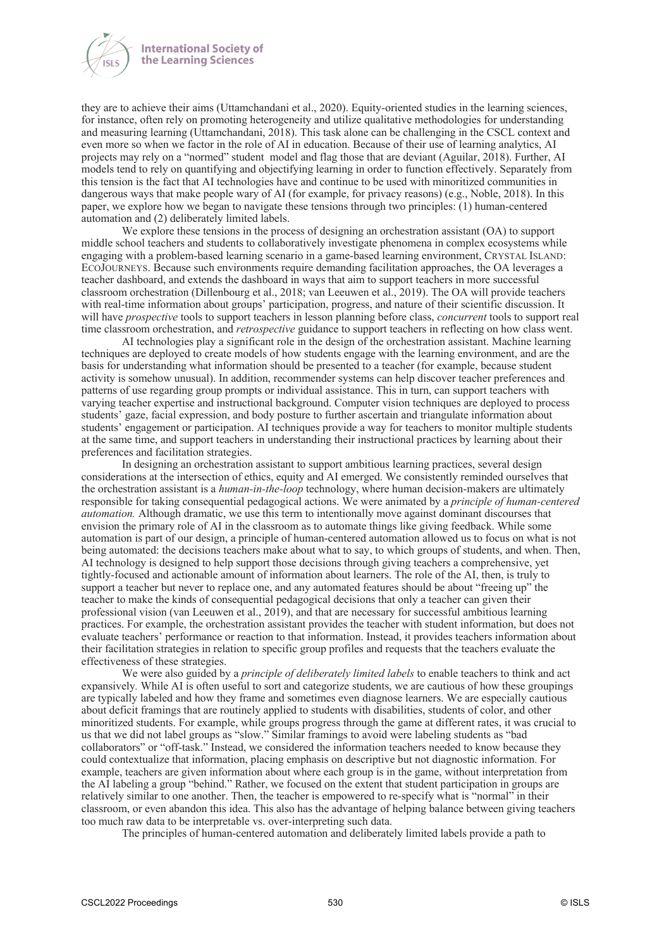

they are to achieve their aims (Uttamchandani et al., 2020). Equity-oriented studies in the learning sciences, for instance, often rely on promoting heterogeneity and utilize qualitative methodologies for understanding and measuring learning (Uttamchandani, 2018). This task alone can be challenging in the CSCL context and even more so when we factor in the role of AI in education. Because of their use of learning analytics, AI projects may rely on a "normed" student model and flag those that are deviant (Aguilar, 2018). Further, AI models tend to rely on quantifying and objectifying learning in order to function effectively. Separately from this tension is the fact that AI technologies have and continue to be used with minoritized communities in dangerous ways that make people wary of AI (for example, for privacy reasons) (e.g., Noble, 2018). In this paper, we explore how we began to navigate these tensions through two principles: (1) human-centered automation and (2) deliberately limited labels.

We explore these tensions in the process of designing an orchestration assistant (OA) to support middle school teachers and students to collaboratively investigate phenomena in complex ecosystems while engaging with a problem-based learning scenario in a game-based learning environment, CRYSTAL ISLAND: ECOJOURNEYS. Because such environments require demanding facilitation approaches, the OA leverages a teacher dashboard, and extends the dashboard in ways that aim to support teachers in more successful classroom orchestration (Dillenbourg et al., 2018; van Leeuwen et al., 2019). The OA will provide teachers with real-time information about groups' participation, progress, and nature of their scientific discussion. It will have *prospective* tools to support teachers in lesson planning before class, *concurrent* tools to support real time classroom orchestration, and *retrospective* guidance to support teachers in reflecting on how class went.

AI technologies play a significant role in the design of the orchestration assistant. Machine learning techniques are deployed to create models of how students engage with the learning environment, and are the basis for understanding what information should be presented to a teacher (for example, because student activity is somehow unusual). In addition, recommender systems can help discover teacher preferences and patterns of use regarding group prompts or individual assistance. This in turn, can support teachers with varying teacher expertise and instructional background. Computer vision techniques are deployed to process students' gaze, facial expression, and body posture to further ascertain and triangulate information about students' engagement or participation. AI techniques provide a way for teachers to monitor multiple students at the same time, and support teachers in understanding their instructional practices by learning about their preferences and facilitation strategies.

In designing an orchestration assistant to support ambitious learning practices, several design considerations at the intersection of ethics, equity and AI emerged. We consistently reminded ourselves that the orchestration assistant is a *human-in-the-loop* technology, where human decision-makers are ultimately responsible for taking consequential pedagogical actions. We were animated by a *principle of human-centered automation.* Although dramatic, we use this term to intentionally move against dominant discourses that envision the primary role of AI in the classroom as to automate things like giving feedback. While some automation is part of our design, a principle of human-centered automation allowed us to focus on what is not being automated: the decisions teachers make about what to say, to which groups of students, and when. Then, AI technology is designed to help support those decisions through giving teachers a comprehensive, yet tightly-focused and actionable amount of information about learners. The role of the AI, then, is truly to support a teacher but never to replace one, and any automated features should be about "freeing up" the teacher to make the kinds of consequential pedagogical decisions that only a teacher can given their professional vision (van Leeuwen et al., 2019), and that are necessary for successful ambitious learning practices. For example, the orchestration assistant provides the teacher with student information, but does not evaluate teachers' performance or reaction to that information. Instead, it provides teachers information about their facilitation strategies in relation to specific group profiles and requests that the teachers evaluate the effectiveness of these strategies.

We were also guided by a *principle of deliberately limited labels* to enable teachers to think and act expansively*.* While AI is often useful to sort and categorize students, we are cautious of how these groupings are typically labeled and how they frame and sometimes even diagnose learners. We are especially cautious about deficit framings that are routinely applied to students with disabilities, students of color, and other minoritized students. For example, while groups progress through the game at different rates, it was crucial to us that we did not label groups as "slow." Similar framings to avoid were labeling students as "bad collaborators" or "off-task." Instead, we considered the information teachers needed to know because they could contextualize that information, placing emphasis on descriptive but not diagnostic information. For example, teachers are given information about where each group is in the game, without interpretation from the AI labeling a group "behind." Rather, we focused on the extent that student participation in groups are relatively similar to one another. Then, the teacher is empowered to re-specify what is "normal" in their classroom, or even abandon this idea. This also has the advantage of helping balance between giving teachers too much raw data to be interpretable vs. over-interpreting such data.

The principles of human-centered automation and deliberately limited labels provide a path to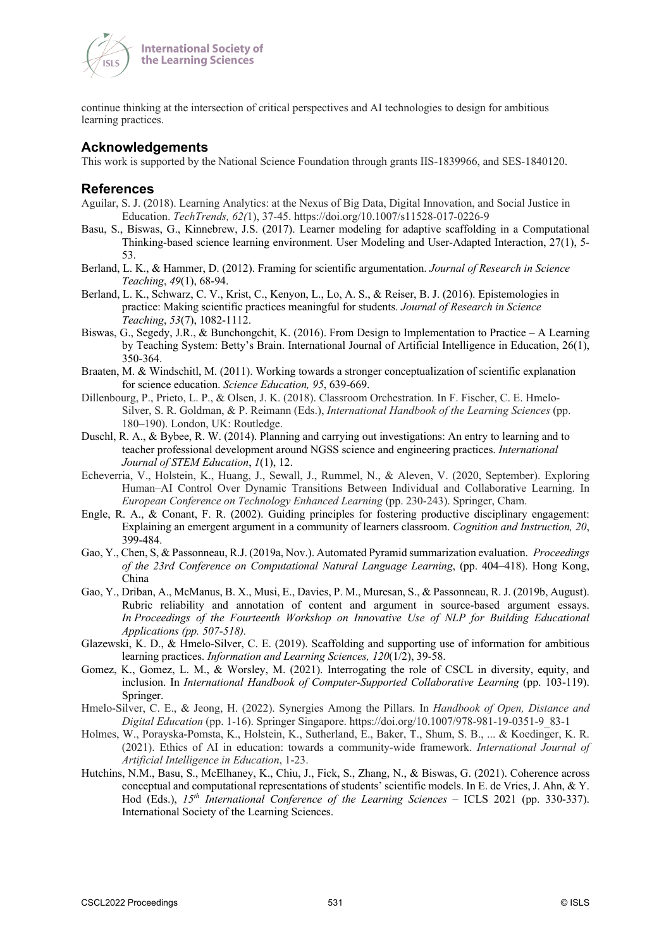

**International Society of** the Learning Sciences

continue thinking at the intersection of critical perspectives and AI technologies to design for ambitious learning practices.

## **Acknowledgements**

This work is supported by the National Science Foundation through grants IIS-1839966, and SES-1840120.

## **References**

- Aguilar, S. J. (2018). Learning Analytics: at the Nexus of Big Data, Digital Innovation, and Social Justice in Education. *TechTrends, 62(*1), 37-45. https://doi.org/10.1007/s11528-017-0226-9
- Basu, S., Biswas, G., Kinnebrew, J.S. (2017). Learner modeling for adaptive scaffolding in a Computational Thinking-based science learning environment. User Modeling and User-Adapted Interaction, 27(1), 5- 53.
- Berland, L. K., & Hammer, D. (2012). Framing for scientific argumentation. *Journal of Research in Science Teaching*, *49*(1), 68-94.
- Berland, L. K., Schwarz, C. V., Krist, C., Kenyon, L., Lo, A. S., & Reiser, B. J. (2016). Epistemologies in practice: Making scientific practices meaningful for students. *Journal of Research in Science Teaching*, *53*(7), 1082-1112.
- Biswas, G., Segedy, J.R., & Bunchongchit, K. (2016). From Design to Implementation to Practice A Learning by Teaching System: Betty's Brain. International Journal of Artificial Intelligence in Education, 26(1), 350-364.
- Braaten, M. & Windschitl, M. (2011). Working towards a stronger conceptualization of scientific explanation for science education. *Science Education, 95*, 639-669.
- Dillenbourg, P., Prieto, L. P., & Olsen, J. K. (2018). Classroom Orchestration. In F. Fischer, C. E. Hmelo-Silver, S. R. Goldman, & P. Reimann (Eds.), *International Handbook of the Learning Sciences* (pp. 180–190). London, UK: Routledge.
- Duschl, R. A., & Bybee, R. W. (2014). Planning and carrying out investigations: An entry to learning and to teacher professional development around NGSS science and engineering practices. *International Journal of STEM Education*, *1*(1), 12.
- Echeverria, V., Holstein, K., Huang, J., Sewall, J., Rummel, N., & Aleven, V. (2020, September). Exploring Human–AI Control Over Dynamic Transitions Between Individual and Collaborative Learning. In *European Conference on Technology Enhanced Learning* (pp. 230-243). Springer, Cham.
- Engle, R. A., & Conant, F. R. (2002). Guiding principles for fostering productive disciplinary engagement: Explaining an emergent argument in a community of learners classroom. *Cognition and Instruction, 20*, 399-484.
- Gao, Y., Chen, S, & Passonneau, R.J. (2019a, Nov.). Automated Pyramid summarization evaluation. *Proceedings of the 23rd Conference on Computational Natural Language Learning*, (pp. 404–418). Hong Kong, China
- Gao, Y., Driban, A., McManus, B. X., Musi, E., Davies, P. M., Muresan, S., & Passonneau, R. J. (2019b, August). Rubric reliability and annotation of content and argument in source-based argument essays. *In Proceedings of the Fourteenth Workshop on Innovative Use of NLP for Building Educational Applications (pp. 507-518).*
- Glazewski, K. D., & Hmelo-Silver, C. E. (2019). Scaffolding and supporting use of information for ambitious learning practices. *Information and Learning Sciences, 120*(1/2), 39-58.
- Gomez, K., Gomez, L. M., & Worsley, M. (2021). Interrogating the role of CSCL in diversity, equity, and inclusion. In *International Handbook of Computer-Supported Collaborative Learning* (pp. 103-119). Springer.
- Hmelo-Silver, C. E., & Jeong, H. (2022). Synergies Among the Pillars. In *Handbook of Open, Distance and Digital Education* (pp. 1-16). Springer Singapore. https://doi.org/10.1007/978-981-19-0351-9\_83-1
- Holmes, W., Porayska-Pomsta, K., Holstein, K., Sutherland, E., Baker, T., Shum, S. B., ... & Koedinger, K. R. (2021). Ethics of AI in education: towards a community-wide framework. *International Journal of Artificial Intelligence in Education*, 1-23.
- Hutchins, N.M., Basu, S., McElhaney, K., Chiu, J., Fick, S., Zhang, N., & Biswas, G. (2021). Coherence across conceptual and computational representations of students' scientific models. In E. de Vries, J. Ahn, & Y. Hod (Eds.), *15th International Conference of the Learning Sciences* – ICLS 2021 (pp. 330-337). International Society of the Learning Sciences.